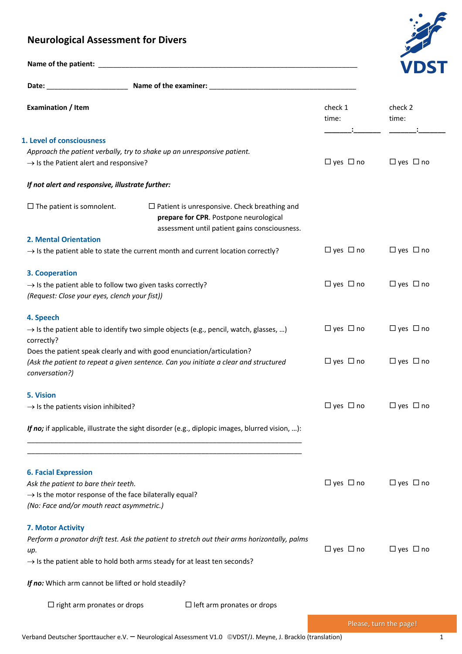## **Neurological Assessment for Divers**



| Name of the patient: |  |
|----------------------|--|

| Examination / Item                                                                                              |                                                                                                                                                | check 1<br>time:     | check 2<br>time:       |
|-----------------------------------------------------------------------------------------------------------------|------------------------------------------------------------------------------------------------------------------------------------------------|----------------------|------------------------|
| 1. Level of consciousness                                                                                       |                                                                                                                                                |                      |                        |
|                                                                                                                 | Approach the patient verbally, try to shake up an unresponsive patient.                                                                        |                      |                        |
| $\rightarrow$ Is the Patient alert and responsive?                                                              |                                                                                                                                                | $\Box$ yes $\Box$ no | $\Box$ yes $\Box$ no   |
| If not alert and responsive, illustrate further:                                                                |                                                                                                                                                |                      |                        |
| $\Box$ The patient is somnolent.                                                                                | $\Box$ Patient is unresponsive. Check breathing and<br>prepare for CPR. Postpone neurological<br>assessment until patient gains consciousness. |                      |                        |
| <b>2. Mental Orientation</b>                                                                                    |                                                                                                                                                |                      |                        |
|                                                                                                                 | $\rightarrow$ Is the patient able to state the current month and current location correctly?                                                   | $\Box$ yes $\Box$ no | $\Box$ yes $\Box$ no   |
| 3. Cooperation                                                                                                  |                                                                                                                                                |                      |                        |
| $\rightarrow$ Is the patient able to follow two given tasks correctly?                                          | $\Box$ yes $\Box$ no                                                                                                                           | $\Box$ yes $\Box$ no |                        |
| (Request: Close your eyes, clench your fist))                                                                   |                                                                                                                                                |                      |                        |
| 4. Speech                                                                                                       |                                                                                                                                                |                      |                        |
| correctly?                                                                                                      | $\rightarrow$ Is the patient able to identify two simple objects (e.g., pencil, watch, glasses, )                                              | $\Box$ yes $\Box$ no | $\Box$ yes $\Box$ no   |
|                                                                                                                 | Does the patient speak clearly and with good enunciation/articulation?                                                                         |                      |                        |
| conversation?)                                                                                                  | (Ask the patient to repeat a given sentence. Can you initiate a clear and structured                                                           | $\Box$ yes $\Box$ no | $\Box$ yes $\Box$ no   |
| 5. Vision                                                                                                       |                                                                                                                                                |                      |                        |
| $\rightarrow$ Is the patients vision inhibited?                                                                 |                                                                                                                                                | $\Box$ yes $\Box$ no | $\Box$ yes $\Box$ no   |
|                                                                                                                 | If no; if applicable, illustrate the sight disorder (e.g., diplopic images, blurred vision, ):                                                 |                      |                        |
|                                                                                                                 |                                                                                                                                                |                      |                        |
| <b>6. Facial Expression</b>                                                                                     |                                                                                                                                                |                      |                        |
| Ask the patient to bare their teeth.                                                                            | $\Box$ yes $\Box$ no                                                                                                                           | $\Box$ yes $\Box$ no |                        |
| $\rightarrow$ Is the motor response of the face bilaterally equal?<br>(No: Face and/or mouth react asymmetric.) |                                                                                                                                                |                      |                        |
| 7. Motor Activity                                                                                               |                                                                                                                                                |                      |                        |
|                                                                                                                 | Perform a pronator drift test. Ask the patient to stretch out their arms horizontally, palms                                                   |                      |                        |
| up.                                                                                                             |                                                                                                                                                | $\Box$ yes $\Box$ no | $\Box$ yes $\Box$ no   |
|                                                                                                                 | $\rightarrow$ Is the patient able to hold both arms steady for at least ten seconds?                                                           |                      |                        |
| If no: Which arm cannot be lifted or hold steadily?                                                             |                                                                                                                                                |                      |                        |
| $\Box$ right arm pronates or drops                                                                              | $\Box$ left arm pronates or drops                                                                                                              |                      |                        |
|                                                                                                                 |                                                                                                                                                |                      | Please, turn the page! |

Verband Deutscher Sporttaucher e.V. - Neurological Assessment V1.0 ©VDST/J. Meyne, J. Bracklo (translation) 1